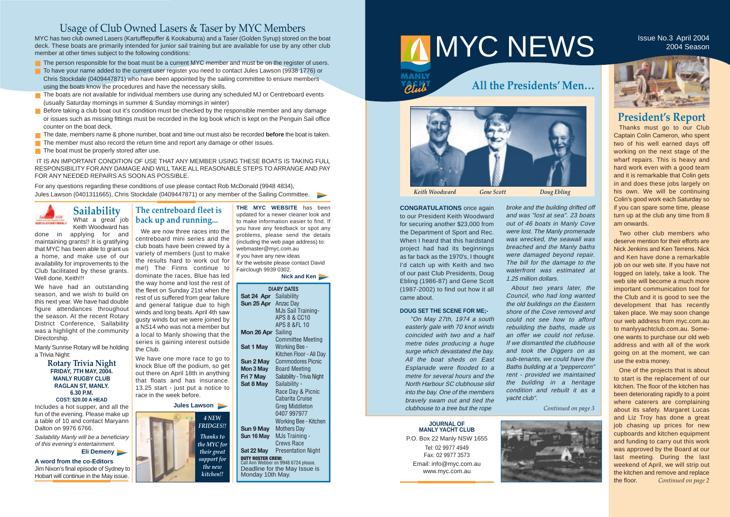|                        | <b>DIARY DATES</b>                                        |
|------------------------|-----------------------------------------------------------|
| Sat 24 Apr Sailability |                                                           |
| Sun 25 Apr Anzac Day   |                                                           |
|                        | MJs Sail Training-                                        |
|                        | <b>APS 8 &amp; CC10</b>                                   |
|                        | APS 8 &FL 10                                              |
| Mon 26 Apr             | Sailing                                                   |
|                        | <b>Committee Meeting</b>                                  |
| Sat 1 May              | <b>Working Bee -</b>                                      |
|                        | Kitchen Floor - All Day                                   |
| Sun 2 May              | <b>Commodores Picnic</b>                                  |
| Mon 3 May              | <b>Board Meeting</b>                                      |
| Fri 7 May              | Sailability - Trivia Night                                |
| Sat 8 May              | Sailability -                                             |
|                        | Race Day & Picnic                                         |
|                        | Cabarita Cruise                                           |
|                        | Greg Middleton                                            |
|                        | 0407 997977                                               |
|                        | Working Bee - Kitchen                                     |
| Sun 9 May              | <b>Mothers Day</b>                                        |
| Sun 16 May             | MJs Training -                                            |
|                        | Crews Race                                                |
| Sat 22 May             | <b>Presentation Night</b>                                 |
|                        | DUTY ROSTER CREW:<br>Call Ann Webber on 9948 6724 please. |
|                        | Deadline for the May Issue is                             |
| Monday 10th May.       |                                                           |

# MMYC NEWS ISSUE No.3 April 2004

**PENT** 

# **President's Report**

Thanks must go to our Club Captain Colin Cameron, who spent two of his well earned days off working on the next stage of the wharf repairs. This is heavy and hard work even with a good team and it is remarkable that Colin gets in and does these jobs largely on his own. We will be continuing Colin's good work each Saturday so if you can spare some time, please turn up at the club any time from 8 am onwards.

Two other club members who deserve mention for their efforts are Nick Jenkins and Ken Terrens. Nick and Ken have done a remarkable job on our web site. If you have not logged on lately, take a look. The web site will become a much more important communication tool for the Club and it is good to see the development that has recently taken place. We may soon change our web address from myc.com.au to manlyyachtclub.com.au. Someone wants to purchase our old web address and with all of the work going on at the moment, we can use the extra money.

One of the projects that is about to start is the replacement of our kitchen. The floor of the kitchen has been deteriorating rapidly to a point where caterers are complaining about its safety. Margaret Lucas and Liz Troy has done a great job chasing up prices for new cupboards and kitchen equipment and funding to carry out this work was approved by the Board at our last meeting. During the last weekend of April, we will strip out the kitchen and remove and replace the floor. *Continued on page 2*

**JOURNAL OF MANLY YACHT CLUB**

P.O. Box 22 Manly NSW 1655 Tel: 02 9977 4949 Fax: 02 9977 3573 Email: info@myc.com.au www.myc.com.au



MYC has two club owned Lasers (Kartufflepuffer & Kookaburra) and a Taser (Golden Syrup) stored on the boat deck. These boats are primarily intended for junior sail training but are available for use by any other club member at other times subject to the following conditions:

- The person responsible for the boat must be a current MYC member and must be on the register of users.
- To have your name added to the current user register you need to contact Jules Lawson (9938 1776) or Chris Stockdale (0409447871) who have been appointed by the sailing committee to ensure members using the boats know the procedures and have the necessary skills.
- The boats are not available for individual members use during any scheduled MJ or Centreboard events (usually Saturday mornings in summer & Sunday mornings in winter)
- Before taking a club boat out it's condition must be checked by the responsible member and any damage or issues such as missing fittings must be recorded in the log book which is kept on the Penguin Sail office counter on the boat deck.
- The date, members name & phone number, boat and time out must also be recorded **before** the boat is taken.
- The member must also record the return time and report any damage or other issues.
- The boat must be properly stored after use.

broke and the building drifted off and was "lost at sea". 23 boats out of 46 boats in Manly Cove were lost. The Manly promenade was wrecked, the seawall was breached and the Manly baths were damaged beyond repair. The bill for the damage to the waterfront was estimated at 1.25 million dollars.

About two years later, the Council, who had long wanted the old buildings on the Eastern shore of the Cove removed and could not see how to afford rebuilding the baths, made us an offer we could not refuse. If we dismantled the clubhouse and took the Diggers on as sub-tenants, we could have the Baths building at a "peppercorn" rent - provided we maintained the building in a heritage condition and rebuilt it as a

yacht club".

*Continued on page 3*



done in applying for and maintaining grants!! It is gratifying that MYC has been able to grant us a home, and make use of our availability for improvements to the Club facilitated by these grants. Well done, Keith!!!

**CONGRATULATIONS** once again to our President Keith Woodward for securing another \$23,000 from the Department of Sport and Rec. When I heard that this hardstand project had had its beginnings as far back as the 1970's, I thought I'd catch up with Keith and two of our past Club Presidents, Doug Ebling (1986-87) and Gene Scott (1987-2002) to find out how it all came about.

We have had an outstanding season, and we wish to build on this next year. We have had double figure attendances throughout the season. At the recent Rotary District Conference, Sailability was a highlight of the community Directorship.

## **DOUG SET THE SCENE FOR ME;-**

"On May 27th, 1974 a south easterly gale with 70 knot winds coincided with two and a half metre tides producing a huge surge which devastated the bay. All the boat sheds on East Esplanade were flooded to a metre for several hours and the North Harbour SC clubhouse slid into the bay. One of the members bravely swam out and tied the clubhouse to a tree but the rope

2004 Season





**THE MYC WEBSITE** has been updated for a newer cleaner look and to make information easier to find. If you have any feedback or spot any problems, please send the details (including the web page address) to: webmaster@myc.com.au If you have any new ideas for the website please contact David Fairclough 9939 0302.

**Nick and Ken**

# Usage of Club Owned Lasers & Taser by MYC Members

IT IS AN IMPORTANT CONDITION OF USE THAT ANY MEMBER USING THESE BOATS IS TAKING FULL RESPONSIBILITY FOR ANY DAMAGE AND WILL TAKE ALL REASONABLE STEPS TO ARRANGE AND PAY FOR ANY NEEDED REPAIRS AS SOON AS POSSIBLE.

For any questions regarding these conditions of use please contact Rob McDonald (9948 4834), Jules Lawson (0401311665), Chris Stockdale (0409447871) or any member of the Sailing Committee.



# **Sailability** What a great job Keith Woodward has

Manly Sunrise Rotary will be holding a Trivia Night:

> **Rotary Trivia Night FRIDAY, 7TH MAY, 2004. MANLY RUGBY CLUB RAGLAN ST, MANLY. 6.30 P.M.**

## **COST: \$20.00 A HEAD**

Includes a hot supper, and all the fun of the evening. Please make up a table of 10 and contact Maryann Dalton on 9976 6766.

Sailability Manly will be a beneficiary of this evening's entertainment.

**Eli Demeny**

# **The centreboard fleet is back up and running...**

We are now three races into the centreboard mini series and the club boats have been crewed by a variety of members (just to make the results hard to work out for me!) The Finns continue to dominate the races, Blue has led the way home and lost the rest of the fleet on Sunday 21st when the rest of us suffered from gear failure and general fatigue due to high winds and long beats. April 4th saw gusty winds but we were joined by a NS14 who was not a member but a local to Manly showing that the series is gaining interest outside the Club.

We have one more race to go to knock Blue off the podium, so get out there on April 18th in anything that floats and has insurance. 13.25 start - just put a notice to race in the week before.

**Jules Lawson** 

**A word from the co-Editors** Jim Nixon's final episode of Sydney to Hobart will continue in the May issue.



*Keith Woodward Gene Scott Doug Ebling*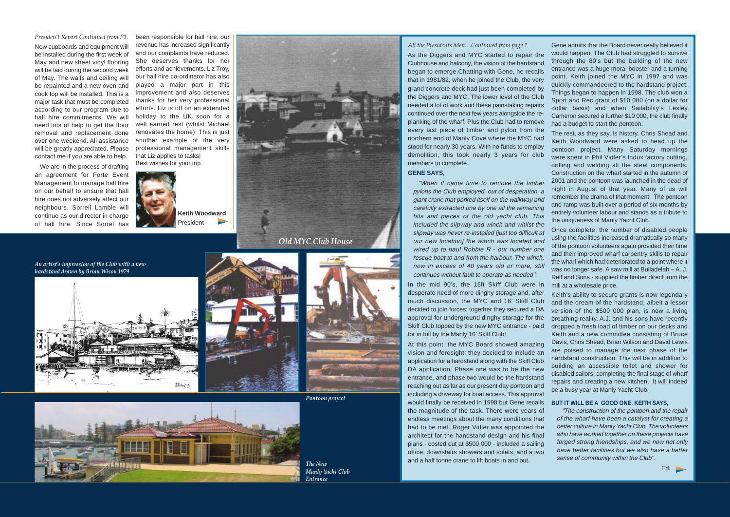### *All the Presidents Men....Continued from page 1*

As the Diggers and MYC started to repair the Clubhouse and balcony, the vision of the hardstand began to emerge.Chatting with Gene, he recalls that in 1981/82, when he joined the Club, the very grand concrete deck had just been completed by the Diggers and MYC. The lower level of the Club needed a lot of work and these painstaking repairs continued over the next few years alongside the replanking of the wharf. Plus the Club had to remove every last piece of timber and pylon from the northern end of Manly Cove where the MYC had stood for nearly 30 years. With no funds to employ demolition, this took nearly 3 years for club members to complete.

## **GENE SAYS,**

"When it came time to remove the timber pylons the Club employed, out of desperation, a giant crane that parked itself on the walkway and carefully extracted one by one all the remaining bits and pieces of the old yacht club. This included the slipway and winch and whilst the slipway was never re-installed [just too difficult at our new location] the winch was located and wired up to haul Robbie R - our number one rescue boat to and from the harbour. The winch, now in excess of 40 years old or more, still continues without fault to operate as needed".

In the mid 90's, the 16ft Skiff Club were in desperate need of more dinghy storage and, after much discussion, the MYC and 16' Skiff Club decided to join forces; together they secured a DA approval for underground dinghy storage for the Skiff Club topped by the new MYC entrance - paid for in full by the Manly 16' Skiff Club!

At this point, the MYC Board showed amazing vision and foresight; they decided to include an application for a hardstand along with the Skiff Club DA application. Phase one was to be the new entrance, and phase two would be the hardstand reaching out as far as our present day pontoon and including a driveway for boat access. This approval would finally be received in 1998 but Gene recalls the magnitude of the task. There were years of endless meetings about the many conditions that had to be met. Roger Vidler was appointed the architect for the handstand design and his final plans - costed out at \$500 000 - included a sailing office, downstairs showers and toilets, and a two and a half tonne crane to lift boats in and out.

Gene admits that the Board never really believed it would happen. The Club had struggled to survive through the 80's but the building of the new entrance was a huge moral booster and a turning point. Keith joined the MYC in 1997 and was quickly commandeered to the hardstand project. Things began to happen in 1998. The club won a Sport and Rec grant of \$10 000 (on a dollar for dollar basis) and when Sailability's Lesley Cameron secured a further \$10 000, the club finally had a budget to start the pontoon.

The rest, as they say, is history. Chris Shead and Keith Woodward were asked to head up the pontoon project. Many Saturday mornings were spent in Phil Vidler's Indux factory cutting, drilling and welding all the steel components. Construction on the wharf started in the autumn of 2001 and the pontoon was launched in the dead of night in August of that year. Many of us will remember the drama of that moment! The pontoon and ramp was built over a period of six months by entirely volunteer labour and stands as a tribute to the uniqueness of Manly Yacht Club.

Once complete, the number of disabled people using the facilities increased dramatically so many of the pontoon volunteers again provided their time and their improved wharf carpentry skills to repair the wharf which had deteriorated to a point where it was no longer safe. A saw mill at Bulladelah – A. J. Relf and Sons - supplied the timber direct from the mill at a wholesale price.

Keith's ability to secure grants is now legendary and the dream of the hardstand, albeit a lessor version of the \$500 000 plan, is now a living breathing reality. A.J. and his sons have recently dropped a fresh load of timber on our decks and Keith and a new committee consisting of Bruce Davis, Chris Shead, Brian Wilson and David Lewis are poised to manage the next phase of the hardstand construction. This will be in addition to building an accessible toilet and shower for disabled sailors, completing the final stage of wharf repairs and creating a new kitchen. It will indeed be a busy year at Manly Yacht Club.

## **BUT IT WILL BE A GOOD ONE. KEITH SAYS,**

"The construction of the pontoon and the repair of the wharf have been a catalyst for creating a better culture in Manly Yacht Club. The volunteers who have worked together on these projects have forged strong friendships, and we now not only have better facilities but we also have a better sense of community within the Club".

Ed. **b** 

*An artist's impression of the Club with a new hardstand drawn by Brian Wison 1979*





*Presiden't Report Continued from P1.* New cupboards and equipment will be installed during the first week of May and new sheet vinyl flooring will be laid during the second week of May. The walls and ceiling will be repainted and a new oven and cook top will be installed. This is a major task that must be completed according to our program due to hall hire commitments. We will need lots of help to get the floor removal and replacement done over one weekend. All assistance will be greatly appreciated. Please contact me if you are able to help.

We are in the process of drafting an agreement for Forte Event Management to manage hall hire on our behalf to ensure that hall hire does not adversely affect our neighbours. Sorrell Lambie will continue as our director in charge of hall hire. Since Sorrel has

been responsible for hall hire, our revenue has increased significantly and our complaints have reduced. She deserves thanks for her efforts and achievements. Liz Troy, our hall hire co-ordinator has also played a major part in this improvement and also deserves thanks for her very professional efforts. Liz is off on an extended holiday to the UK soon for a well earned rest (whilst Michael renovates the home). This is just another example of the very professional management skills that Liz applies to tasks! Best wishes for your trip.



**Keith Woodward**  President



*Old MYC Club House*





*The New Manly Yacht Club Entrance*